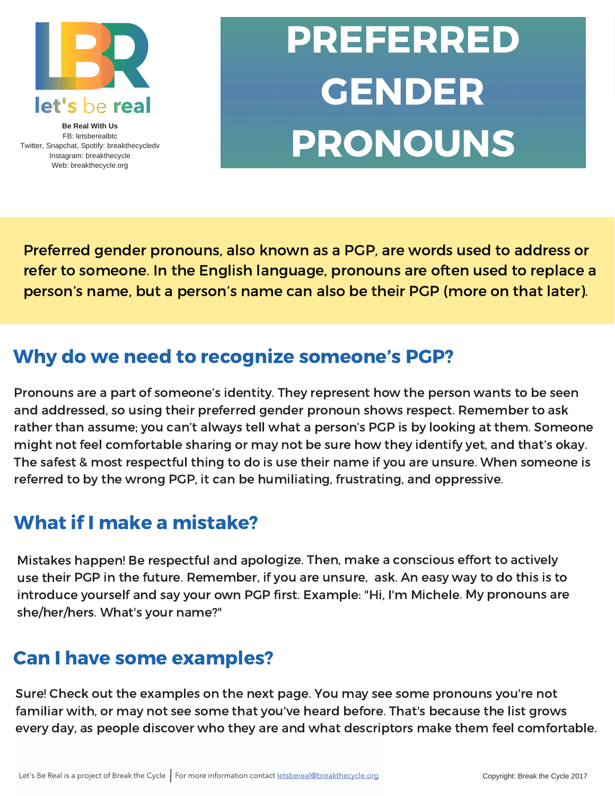

**Be Real With Us** FB: letsberealbtc Twitter, Snapchat, Spotify: breakthecycledv Instagram: breakthecycle Web: breakthecycle.org

## PREFERRED GENDER PRONOUNS

Preferred gender pronouns, also known as a PGP, are words used to address or refer to someone. In the English language, pronouns are often used to replace a person's name, but a person's name can also be their PGP (more on that later).

### Why do we need to recognize someone's PGP?

Pronouns are a part of someone's identity. They represent how the person wants to be seen and addressed, so using their preferred gender pronoun shows respect. Remember to ask rather than assume; you can't always tell what a person's PGP is by looking at them. Someone might not feel comfortable sharing or may not be sure how they identify yet, and that's okay. The safest & most respectful thing to do is use their name if you are unsure. When someone is referred to by the wrong PGP, it can be humiliating, frustrating, and oppressive.

## What if I make a mistake?

Mistakes happen! Be respectful and apologize. Then, make <sup>a</sup> conscious effort to actively use their PGP in the future. Remember, if you are unsure, ask. An easy way to do this is to introduce yourself and say your own PGP first. Example: "Hi, I'm Michele. My pronouns are she/her/hers. What's your name?"

#### Can I have some examples?

Sure! Check out the examples on the next page. You may see some pronouns you're not familiar with, or may not see some that you've heard before. That's because the list grows every day, as people discover who they are and what descriptors make them feel comfortable.